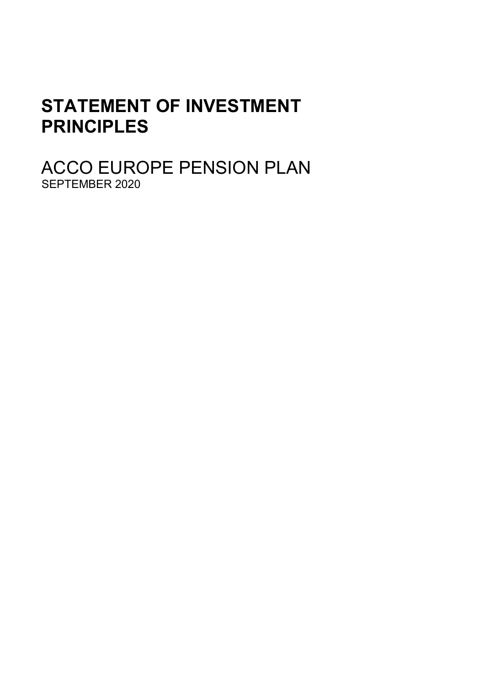# **STATEMENT OF INVESTMENT PRINCIPLES**

ACCO EUROPE PENSION PLAN SEPTEMBER 2020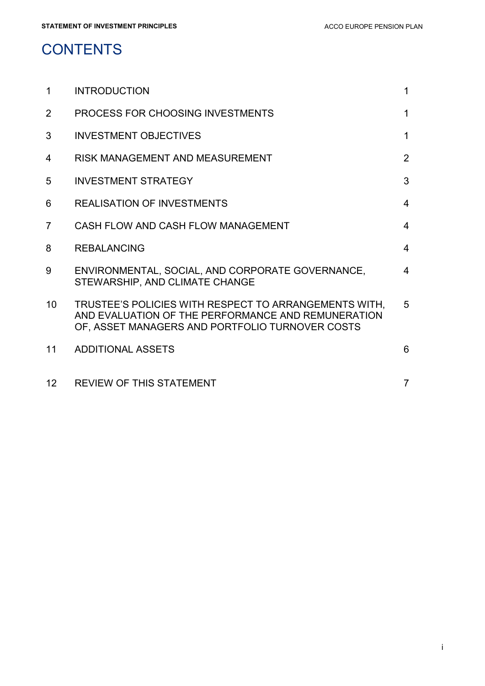# **CONTENTS**

| $\mathbf{1}$   | <b>INTRODUCTION</b>                                                                                                                                            | $\mathbf{1}$   |
|----------------|----------------------------------------------------------------------------------------------------------------------------------------------------------------|----------------|
| $\overline{2}$ | PROCESS FOR CHOOSING INVESTMENTS                                                                                                                               | $\mathbf 1$    |
| 3              | <b>INVESTMENT OBJECTIVES</b>                                                                                                                                   | $\mathbf 1$    |
| 4              | RISK MANAGEMENT AND MEASUREMENT                                                                                                                                | 2              |
| 5              | <b>INVESTMENT STRATEGY</b>                                                                                                                                     | 3              |
| 6              | <b>REALISATION OF INVESTMENTS</b>                                                                                                                              | $\overline{4}$ |
| $\overline{7}$ | CASH FLOW AND CASH FLOW MANAGEMENT                                                                                                                             | $\overline{4}$ |
| 8              | <b>REBALANCING</b>                                                                                                                                             | $\overline{4}$ |
| 9              | ENVIRONMENTAL, SOCIAL, AND CORPORATE GOVERNANCE.<br>STEWARSHIP, AND CLIMATE CHANGE                                                                             | 4              |
| 10             | TRUSTEE'S POLICIES WITH RESPECT TO ARRANGEMENTS WITH,<br>AND EVALUATION OF THE PERFORMANCE AND REMUNERATION<br>OF, ASSET MANAGERS AND PORTFOLIO TURNOVER COSTS | 5              |
| 11             | <b>ADDITIONAL ASSETS</b>                                                                                                                                       | 6              |
| 12             | <b>REVIEW OF THIS STATEMENT</b>                                                                                                                                | $\overline{7}$ |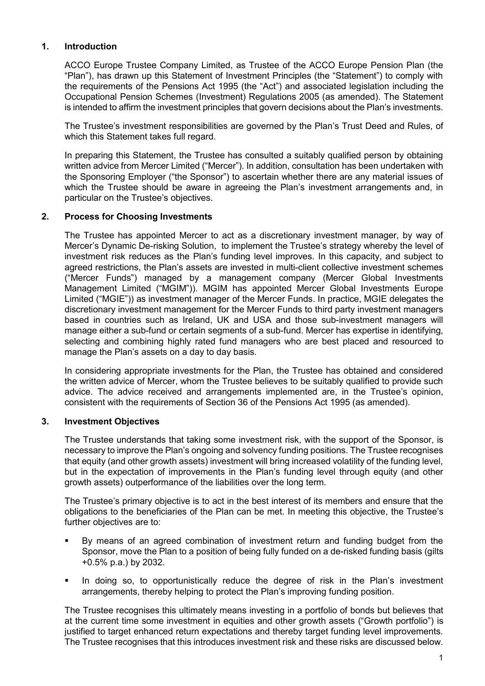# **1. Introduction**

ACCO Europe Trustee Company Limited, as Trustee of the ACCO Europe Pension Plan (the "Plan"), has drawn up this Statement of Investment Principles (the "Statement") to comply with the requirements of the Pensions Act 1995 (the "Act") and associated legislation including the Occupational Pension Schemes (Investment) Regulations 2005 (as amended). The Statement is intended to affirm the investment principles that govern decisions about the Plan's investments.

The Trustee's investment responsibilities are governed by the Plan's Trust Deed and Rules, of which this Statement takes full regard.

In preparing this Statement, the Trustee has consulted a suitably qualified person by obtaining written advice from Mercer Limited ("Mercer"). In addition, consultation has been undertaken with the Sponsoring Employer ("the Sponsor") to ascertain whether there are any material issues of which the Trustee should be aware in agreeing the Plan's investment arrangements and, in particular on the Trustee's objectives.

# **2. Process for Choosing Investments**

The Trustee has appointed Mercer to act as a discretionary investment manager, by way of Mercer's Dynamic De-risking Solution, to implement the Trustee's strategy whereby the level of investment risk reduces as the Plan's funding level improves. In this capacity, and subject to agreed restrictions, the Plan's assets are invested in multi-client collective investment schemes ("Mercer Funds") managed by a management company (Mercer Global Investments Management Limited ("MGIM")). MGIM has appointed Mercer Global Investments Europe Limited ("MGIE")) as investment manager of the Mercer Funds. In practice, MGIE delegates the discretionary investment management for the Mercer Funds to third party investment managers based in countries such as Ireland, UK and USA and those sub-investment managers will manage either a sub-fund or certain segments of a sub-fund. Mercer has expertise in identifying, selecting and combining highly rated fund managers who are best placed and resourced to manage the Plan's assets on a day to day basis.

In considering appropriate investments for the Plan, the Trustee has obtained and considered the written advice of Mercer, whom the Trustee believes to be suitably qualified to provide such advice. The advice received and arrangements implemented are, in the Trustee's opinion, consistent with the requirements of Section 36 of the Pensions Act 1995 (as amended).

# **3. Investment Objectives**

The Trustee understands that taking some investment risk, with the support of the Sponsor, is necessary to improve the Plan's ongoing and solvency funding positions. The Trustee recognises that equity (and other growth assets) investment will bring increased volatility of the funding level, but in the expectation of improvements in the Plan's funding level through equity (and other growth assets) outperformance of the liabilities over the long term.

The Trustee's primary objective is to act in the best interest of its members and ensure that the obligations to the beneficiaries of the Plan can be met. In meeting this objective, the Trustee's further objectives are to:

- By means of an agreed combination of investment return and funding budget from the Sponsor, move the Plan to a position of being fully funded on a de-risked funding basis (gilts +0.5% p.a.) by 2032.
- In doing so, to opportunistically reduce the degree of risk in the Plan's investment arrangements, thereby helping to protect the Plan's improving funding position.

The Trustee recognises this ultimately means investing in a portfolio of bonds but believes that at the current time some investment in equities and other growth assets ("Growth portfolio") is justified to target enhanced return expectations and thereby target funding level improvements. The Trustee recognises that this introduces investment risk and these risks are discussed below.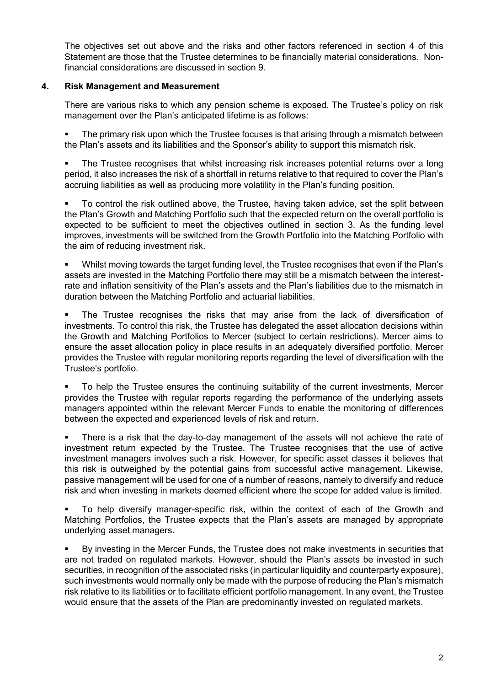The objectives set out above and the risks and other factors referenced in section 4 of this Statement are those that the Trustee determines to be financially material considerations. Nonfinancial considerations are discussed in section 9.

# **4. Risk Management and Measurement**

There are various risks to which any pension scheme is exposed. The Trustee's policy on risk management over the Plan's anticipated lifetime is as follows:

 The primary risk upon which the Trustee focuses is that arising through a mismatch between the Plan's assets and its liabilities and the Sponsor's ability to support this mismatch risk.

 The Trustee recognises that whilst increasing risk increases potential returns over a long period, it also increases the risk of a shortfall in returns relative to that required to cover the Plan's accruing liabilities as well as producing more volatility in the Plan's funding position.

 To control the risk outlined above, the Trustee, having taken advice, set the split between the Plan's Growth and Matching Portfolio such that the expected return on the overall portfolio is expected to be sufficient to meet the objectives outlined in section 3. As the funding level improves, investments will be switched from the Growth Portfolio into the Matching Portfolio with the aim of reducing investment risk.

 Whilst moving towards the target funding level, the Trustee recognises that even if the Plan's assets are invested in the Matching Portfolio there may still be a mismatch between the interestrate and inflation sensitivity of the Plan's assets and the Plan's liabilities due to the mismatch in duration between the Matching Portfolio and actuarial liabilities.

 The Trustee recognises the risks that may arise from the lack of diversification of investments. To control this risk, the Trustee has delegated the asset allocation decisions within the Growth and Matching Portfolios to Mercer (subject to certain restrictions). Mercer aims to ensure the asset allocation policy in place results in an adequately diversified portfolio. Mercer provides the Trustee with regular monitoring reports regarding the level of diversification with the Trustee's portfolio.

 To help the Trustee ensures the continuing suitability of the current investments, Mercer provides the Trustee with regular reports regarding the performance of the underlying assets managers appointed within the relevant Mercer Funds to enable the monitoring of differences between the expected and experienced levels of risk and return.

 There is a risk that the day-to-day management of the assets will not achieve the rate of investment return expected by the Trustee. The Trustee recognises that the use of active investment managers involves such a risk. However, for specific asset classes it believes that this risk is outweighed by the potential gains from successful active management. Likewise, passive management will be used for one of a number of reasons, namely to diversify and reduce risk and when investing in markets deemed efficient where the scope for added value is limited.

 To help diversify manager-specific risk, within the context of each of the Growth and Matching Portfolios, the Trustee expects that the Plan's assets are managed by appropriate underlying asset managers.

 By investing in the Mercer Funds, the Trustee does not make investments in securities that are not traded on regulated markets. However, should the Plan's assets be invested in such securities, in recognition of the associated risks (in particular liquidity and counterparty exposure), such investments would normally only be made with the purpose of reducing the Plan's mismatch risk relative to its liabilities or to facilitate efficient portfolio management. In any event, the Trustee would ensure that the assets of the Plan are predominantly invested on regulated markets.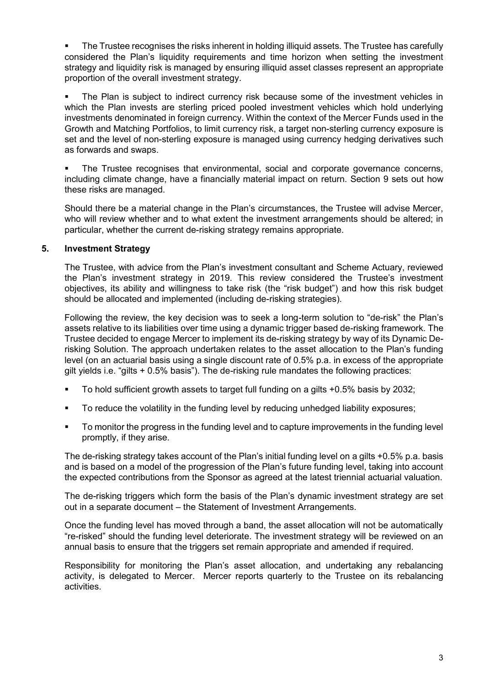• The Trustee recognises the risks inherent in holding illiquid assets. The Trustee has carefully considered the Plan's liquidity requirements and time horizon when setting the investment strategy and liquidity risk is managed by ensuring illiquid asset classes represent an appropriate proportion of the overall investment strategy.

 The Plan is subject to indirect currency risk because some of the investment vehicles in which the Plan invests are sterling priced pooled investment vehicles which hold underlying investments denominated in foreign currency. Within the context of the Mercer Funds used in the Growth and Matching Portfolios, to limit currency risk, a target non-sterling currency exposure is set and the level of non-sterling exposure is managed using currency hedging derivatives such as forwards and swaps.

 The Trustee recognises that environmental, social and corporate governance concerns, including climate change, have a financially material impact on return. Section 9 sets out how these risks are managed.

Should there be a material change in the Plan's circumstances, the Trustee will advise Mercer, who will review whether and to what extent the investment arrangements should be altered; in particular, whether the current de-risking strategy remains appropriate.

# **5. Investment Strategy**

The Trustee, with advice from the Plan's investment consultant and Scheme Actuary, reviewed the Plan's investment strategy in 2019. This review considered the Trustee's investment objectives, its ability and willingness to take risk (the "risk budget") and how this risk budget should be allocated and implemented (including de-risking strategies).

Following the review, the key decision was to seek a long-term solution to "de-risk" the Plan's assets relative to its liabilities over time using a dynamic trigger based de-risking framework. The Trustee decided to engage Mercer to implement its de-risking strategy by way of its Dynamic Derisking Solution. The approach undertaken relates to the asset allocation to the Plan's funding level (on an actuarial basis using a single discount rate of 0.5% p.a. in excess of the appropriate gilt yields i.e. "gilts + 0.5% basis"). The de-risking rule mandates the following practices:

- To hold sufficient growth assets to target full funding on a gilts +0.5% basis by 2032;
- To reduce the volatility in the funding level by reducing unhedged liability exposures;
- To monitor the progress in the funding level and to capture improvements in the funding level promptly, if they arise.

The de-risking strategy takes account of the Plan's initial funding level on a gilts +0.5% p.a. basis and is based on a model of the progression of the Plan's future funding level, taking into account the expected contributions from the Sponsor as agreed at the latest triennial actuarial valuation.

The de-risking triggers which form the basis of the Plan's dynamic investment strategy are set out in a separate document – the Statement of Investment Arrangements.

Once the funding level has moved through a band, the asset allocation will not be automatically "re-risked" should the funding level deteriorate. The investment strategy will be reviewed on an annual basis to ensure that the triggers set remain appropriate and amended if required.

Responsibility for monitoring the Plan's asset allocation, and undertaking any rebalancing activity, is delegated to Mercer. Mercer reports quarterly to the Trustee on its rebalancing activities.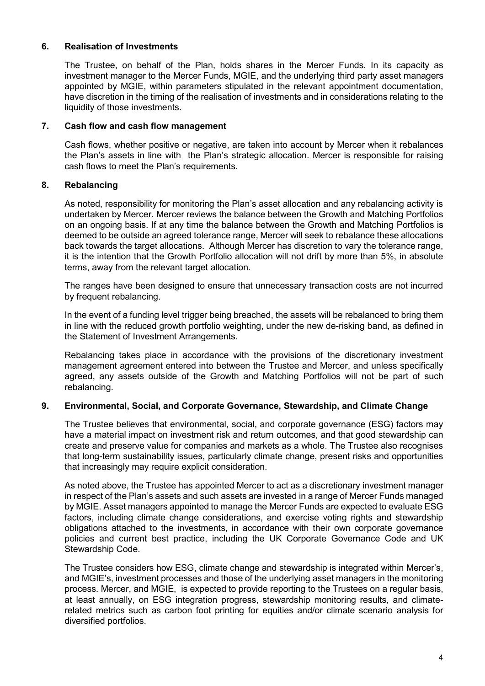# **6. Realisation of Investments**

The Trustee, on behalf of the Plan, holds shares in the Mercer Funds. In its capacity as investment manager to the Mercer Funds, MGIE, and the underlying third party asset managers appointed by MGIE, within parameters stipulated in the relevant appointment documentation, have discretion in the timing of the realisation of investments and in considerations relating to the liquidity of those investments.

# **7. Cash flow and cash flow management**

Cash flows, whether positive or negative, are taken into account by Mercer when it rebalances the Plan's assets in line with the Plan's strategic allocation. Mercer is responsible for raising cash flows to meet the Plan's requirements.

# **8. Rebalancing**

As noted, responsibility for monitoring the Plan's asset allocation and any rebalancing activity is undertaken by Mercer. Mercer reviews the balance between the Growth and Matching Portfolios on an ongoing basis. If at any time the balance between the Growth and Matching Portfolios is deemed to be outside an agreed tolerance range, Mercer will seek to rebalance these allocations back towards the target allocations. Although Mercer has discretion to vary the tolerance range, it is the intention that the Growth Portfolio allocation will not drift by more than 5%, in absolute terms, away from the relevant target allocation.

The ranges have been designed to ensure that unnecessary transaction costs are not incurred by frequent rebalancing.

In the event of a funding level trigger being breached, the assets will be rebalanced to bring them in line with the reduced growth portfolio weighting, under the new de-risking band, as defined in the Statement of Investment Arrangements.

Rebalancing takes place in accordance with the provisions of the discretionary investment management agreement entered into between the Trustee and Mercer, and unless specifically agreed, any assets outside of the Growth and Matching Portfolios will not be part of such rebalancing.

# **9. Environmental, Social, and Corporate Governance, Stewardship, and Climate Change**

The Trustee believes that environmental, social, and corporate governance (ESG) factors may have a material impact on investment risk and return outcomes, and that good stewardship can create and preserve value for companies and markets as a whole. The Trustee also recognises that long-term sustainability issues, particularly climate change, present risks and opportunities that increasingly may require explicit consideration.

As noted above, the Trustee has appointed Mercer to act as a discretionary investment manager in respect of the Plan's assets and such assets are invested in a range of Mercer Funds managed by MGIE. Asset managers appointed to manage the Mercer Funds are expected to evaluate ESG factors, including climate change considerations, and exercise voting rights and stewardship obligations attached to the investments, in accordance with their own corporate governance policies and current best practice, including the UK Corporate Governance Code and UK Stewardship Code.

The Trustee considers how ESG, climate change and stewardship is integrated within Mercer's, and MGIE's, investment processes and those of the underlying asset managers in the monitoring process. Mercer, and MGIE, is expected to provide reporting to the Trustees on a regular basis, at least annually, on ESG integration progress, stewardship monitoring results, and climaterelated metrics such as carbon foot printing for equities and/or climate scenario analysis for diversified portfolios.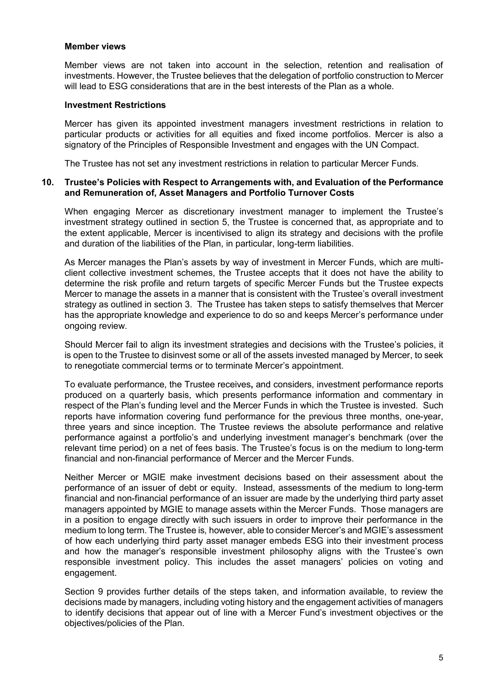#### **Member views**

Member views are not taken into account in the selection, retention and realisation of investments. However, the Trustee believes that the delegation of portfolio construction to Mercer will lead to ESG considerations that are in the best interests of the Plan as a whole.

#### **Investment Restrictions**

Mercer has given its appointed investment managers investment restrictions in relation to particular products or activities for all equities and fixed income portfolios. Mercer is also a signatory of the Principles of Responsible Investment and engages with the UN Compact.

The Trustee has not set any investment restrictions in relation to particular Mercer Funds.

#### **10. Trustee's Policies with Respect to Arrangements with, and Evaluation of the Performance and Remuneration of, Asset Managers and Portfolio Turnover Costs**

When engaging Mercer as discretionary investment manager to implement the Trustee's investment strategy outlined in section 5, the Trustee is concerned that, as appropriate and to the extent applicable, Mercer is incentivised to align its strategy and decisions with the profile and duration of the liabilities of the Plan, in particular, long-term liabilities.

As Mercer manages the Plan's assets by way of investment in Mercer Funds, which are multiclient collective investment schemes, the Trustee accepts that it does not have the ability to determine the risk profile and return targets of specific Mercer Funds but the Trustee expects Mercer to manage the assets in a manner that is consistent with the Trustee's overall investment strategy as outlined in section 3. The Trustee has taken steps to satisfy themselves that Mercer has the appropriate knowledge and experience to do so and keeps Mercer's performance under ongoing review.

Should Mercer fail to align its investment strategies and decisions with the Trustee's policies, it is open to the Trustee to disinvest some or all of the assets invested managed by Mercer, to seek to renegotiate commercial terms or to terminate Mercer's appointment.

To evaluate performance, the Trustee receives**,** and considers, investment performance reports produced on a quarterly basis, which presents performance information and commentary in respect of the Plan's funding level and the Mercer Funds in which the Trustee is invested. Such reports have information covering fund performance for the previous three months, one-year, three years and since inception. The Trustee reviews the absolute performance and relative performance against a portfolio's and underlying investment manager's benchmark (over the relevant time period) on a net of fees basis. The Trustee's focus is on the medium to long-term financial and non-financial performance of Mercer and the Mercer Funds.

Neither Mercer or MGIE make investment decisions based on their assessment about the performance of an issuer of debt or equity. Instead, assessments of the medium to long-term financial and non-financial performance of an issuer are made by the underlying third party asset managers appointed by MGIE to manage assets within the Mercer Funds. Those managers are in a position to engage directly with such issuers in order to improve their performance in the medium to long term. The Trustee is*,* however, able to consider Mercer's and MGIE's assessment of how each underlying third party asset manager embeds ESG into their investment process and how the manager's responsible investment philosophy aligns with the Trustee's own responsible investment policy. This includes the asset managers' policies on voting and engagement.

Section 9 provides further details of the steps taken, and information available, to review the decisions made by managers, including voting history and the engagement activities of managers to identify decisions that appear out of line with a Mercer Fund's investment objectives or the objectives/policies of the Plan.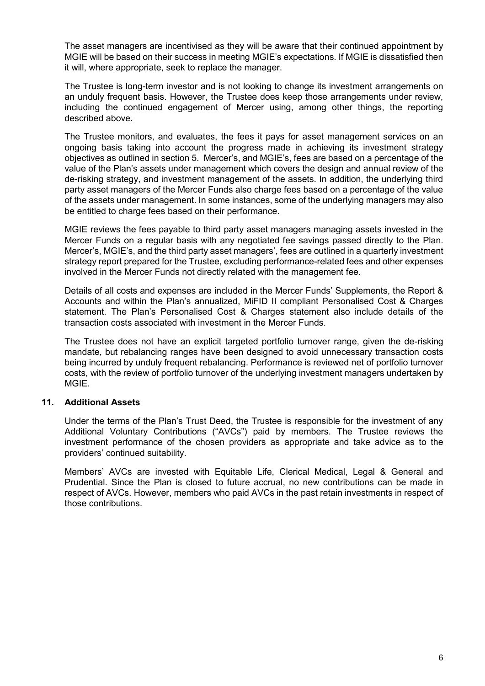The asset managers are incentivised as they will be aware that their continued appointment by MGIE will be based on their success in meeting MGIE's expectations. If MGIE is dissatisfied then it will, where appropriate, seek to replace the manager.

The Trustee is long-term investor and is not looking to change its investment arrangements on an unduly frequent basis. However, the Trustee does keep those arrangements under review, including the continued engagement of Mercer using, among other things, the reporting described above.

The Trustee monitors, and evaluates, the fees it pays for asset management services on an ongoing basis taking into account the progress made in achieving its investment strategy objectives as outlined in section 5. Mercer's, and MGIE's, fees are based on a percentage of the value of the Plan's assets under management which covers the design and annual review of the de-risking strategy, and investment management of the assets. In addition, the underlying third party asset managers of the Mercer Funds also charge fees based on a percentage of the value of the assets under management. In some instances, some of the underlying managers may also be entitled to charge fees based on their performance.

MGIE reviews the fees payable to third party asset managers managing assets invested in the Mercer Funds on a regular basis with any negotiated fee savings passed directly to the Plan. Mercer's, MGIE's, and the third party asset managers', fees are outlined in a quarterly investment strategy report prepared for the Trustee, excluding performance-related fees and other expenses involved in the Mercer Funds not directly related with the management fee.

Details of all costs and expenses are included in the Mercer Funds' Supplements, the Report & Accounts and within the Plan's annualized, MiFID II compliant Personalised Cost & Charges statement. The Plan's Personalised Cost & Charges statement also include details of the transaction costs associated with investment in the Mercer Funds.

The Trustee does not have an explicit targeted portfolio turnover range, given the de-risking mandate, but rebalancing ranges have been designed to avoid unnecessary transaction costs being incurred by unduly frequent rebalancing. Performance is reviewed net of portfolio turnover costs, with the review of portfolio turnover of the underlying investment managers undertaken by MGIE.

# **11. Additional Assets**

Under the terms of the Plan's Trust Deed, the Trustee is responsible for the investment of any Additional Voluntary Contributions ("AVCs") paid by members. The Trustee reviews the investment performance of the chosen providers as appropriate and take advice as to the providers' continued suitability.

Members' AVCs are invested with Equitable Life, Clerical Medical, Legal & General and Prudential. Since the Plan is closed to future accrual, no new contributions can be made in respect of AVCs. However, members who paid AVCs in the past retain investments in respect of those contributions.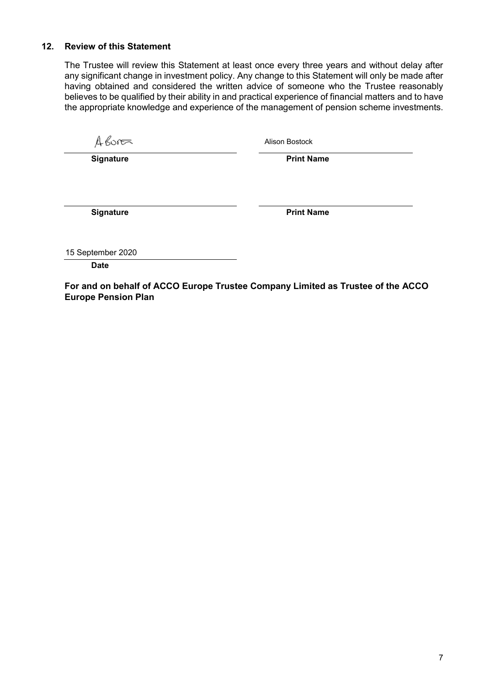## **12. Review of this Statement**

The Trustee will review this Statement at least once every three years and without delay after any significant change in investment policy. Any change to this Statement will only be made after having obtained and considered the written advice of someone who the Trustee reasonably believes to be qualified by their ability in and practical experience of financial matters and to have the appropriate knowledge and experience of the management of pension scheme investments.

 $A600$ 

Alison Bostock

**Signature Print Name** 

**Signature Print Name** 

15 September 2020

**Date**

**For and on behalf of ACCO Europe Trustee Company Limited as Trustee of the ACCO Europe Pension Plan**